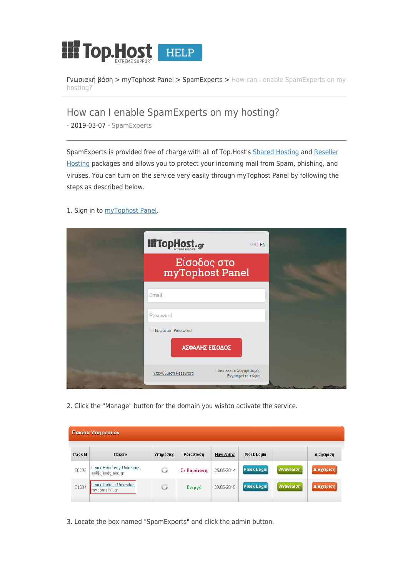

[Γνωσιακή βάση](https://help.top.host/el/kb) > [myTophost Panel](https://help.top.host/el/kb/mytophost-panel) > [SpamExperts](https://help.top.host/el/kb/spamexperts) > [How can I enable SpamExperts on my](https://help.top.host/el/kb/articles/how-can-i-enable-spamexperts-on-my-hosting-3) [hosting?](https://help.top.host/el/kb/articles/how-can-i-enable-spamexperts-on-my-hosting-3)

How can I enable SpamExperts on my hosting?

- 2019-03-07 - [SpamExperts](https://help.top.host/el/kb/spamexperts)

SpamExperts is provided free of charge with all of Top.Host's [Shared Hosting](https://top.host/web-hosting.htm) and [Reseller](https://top.host/reseller-webhosting-linux.htm) [Hosting](https://top.host/reseller-webhosting-linux.htm) packages and allows you to protect your incoming mail from Spam, phishing, and viruses. You can turn on the service very easily through myTophost Panel by following the steps as described below.

1. Sign in to [myTophost Panel.](https://top.host/myTophost/)

| <b>III</b> TopHost.gr | GR   EN                                  |  |
|-----------------------|------------------------------------------|--|
|                       | Είσοδος στο<br>myTophost Panel           |  |
| Email                 |                                          |  |
| Password              |                                          |  |
| Eμφάνιση Password     | ΑΣΦΑΛΗΣ ΕΙΣΟΔΟΣ                          |  |
| Υπενθύμιση Password   | Δεν έχετε λογαριασμό;<br>Εγγραφείτε τώρα |  |

2. Click the "Manage" button for the domain you wishto activate the service.

| Πακέτα Υπηρεσιών |                                                     |           |             |            |                    |          |            |  |  |
|------------------|-----------------------------------------------------|-----------|-------------|------------|--------------------|----------|------------|--|--|
| Pack Id          | Πακέτο                                              | Υπηρεσίες | Κατάσταση   | Ημ/α λήξης | Plesk Login        |          | Διαχείριση |  |  |
| 80292            | <b>Linux Economy Unlimited</b><br>askidjasdgjasd.gr | G         | Σε Παράταση | 25/05/2014 | <b>Plesk Login</b> | Ανανέωση | Διαχείριση |  |  |
| 81384            | Linux Deluxe Unlimited<br>mydomain1.gr              | G         | Ενεργό      | 29/05/2015 | <b>Plesk Login</b> | Ανανέωση | Διαχείριση |  |  |

3. Locate the box named "SpamExperts" and click the admin button.